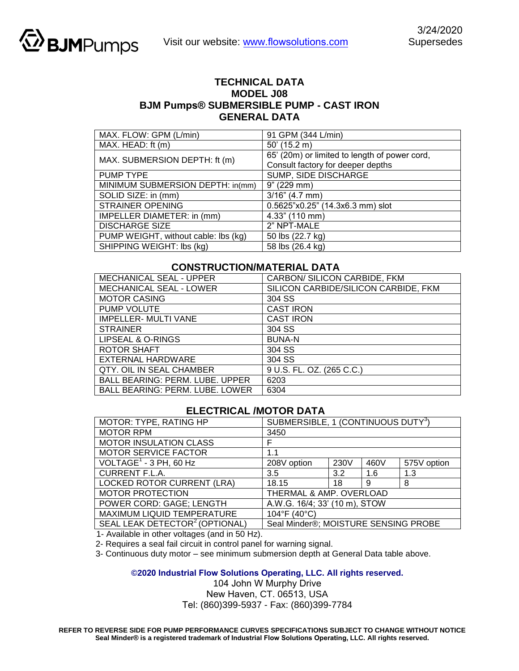

## **TECHNICAL DATA MODEL J08 BJM Pumps® SUBMERSIBLE PUMP - CAST IRON GENERAL DATA**

| MAX. FLOW: GPM (L/min)               | 91 GPM (344 L/min)                            |
|--------------------------------------|-----------------------------------------------|
| MAX. HEAD: ft (m)                    | $50'$ (15.2 m)                                |
| MAX. SUBMERSION DEPTH: ft (m)        | 65' (20m) or limited to length of power cord, |
|                                      | Consult factory for deeper depths             |
| <b>PUMP TYPE</b>                     | SUMP, SIDE DISCHARGE                          |
| MINIMUM SUBMERSION DEPTH: in(mm)     | 9" (229 mm)                                   |
| SOLID SIZE: in (mm)                  | $3/16$ " (4.7 mm)                             |
| <b>STRAINER OPENING</b>              | 0.5625"x0.25" (14.3x6.3 mm) slot              |
| IMPELLER DIAMETER: in (mm)           | 4.33" (110 mm)                                |
| <b>DISCHARGE SIZE</b>                | 2" NPT-MALE                                   |
| PUMP WEIGHT, without cable: lbs (kg) | 50 lbs (22.7 kg)                              |
| SHIPPING WEIGHT: Ibs (kg)            | 58 lbs (26.4 kg)                              |

## **CONSTRUCTION/MATERIAL DATA**

| <b>MECHANICAL SEAL - UPPER</b>         | CARBON/ SILICON CARBIDE, FKM         |  |  |
|----------------------------------------|--------------------------------------|--|--|
| MECHANICAL SEAL - LOWER                | SILICON CARBIDE/SILICON CARBIDE, FKM |  |  |
| <b>MOTOR CASING</b>                    | 304 SS                               |  |  |
| PUMP VOLUTE                            | <b>CAST IRON</b>                     |  |  |
| <b>IMPELLER- MULTI VANE</b>            | <b>CAST IRON</b>                     |  |  |
| <b>STRAINER</b>                        | 304 SS                               |  |  |
| LIPSEAL & O-RINGS                      | <b>BUNA-N</b>                        |  |  |
| <b>ROTOR SHAFT</b>                     | 304 SS                               |  |  |
| EXTERNAL HARDWARE                      | 304 SS                               |  |  |
| QTY. OIL IN SEAL CHAMBER               | 9 U.S. FL. OZ. (265 C.C.)            |  |  |
| <b>BALL BEARING: PERM. LUBE. UPPER</b> | 6203                                 |  |  |
| <b>BALL BEARING: PERM. LUBE. LOWER</b> | 6304                                 |  |  |

## **ELECTRICAL /MOTOR DATA**

| MOTOR: TYPE, RATING HP                     | SUBMERSIBLE, 1 (CONTINUOUS DUTY <sup>3</sup> ) |      |      |             |  |
|--------------------------------------------|------------------------------------------------|------|------|-------------|--|
| <b>MOTOR RPM</b>                           | 3450                                           |      |      |             |  |
| <b>MOTOR INSULATION CLASS</b>              | F                                              |      |      |             |  |
| <b>MOTOR SERVICE FACTOR</b>                | 1.1                                            |      |      |             |  |
| $VOLTAGE1 - 3 PH, 60 Hz$                   | 208V option                                    | 230V | 460V | 575V option |  |
| <b>CURRENT F.L.A.</b>                      | 3.5                                            | 3.2  | 1.6  | 1.3         |  |
| <b>LOCKED ROTOR CURRENT (LRA)</b>          | 18.15                                          | 18   | 9    | 8           |  |
| <b>MOTOR PROTECTION</b>                    | THERMAL & AMP. OVERLOAD                        |      |      |             |  |
| POWER CORD: GAGE; LENGTH                   | A.W.G. 16/4; 33' (10 m), STOW                  |      |      |             |  |
| MAXIMUM LIQUID TEMPERATURE                 | 104°F (40°C)                                   |      |      |             |  |
| SEAL LEAK DETECTOR <sup>2</sup> (OPTIONAL) | Seal Minder®; MOISTURE SENSING PROBE           |      |      |             |  |

1- Available in other voltages (and in 50 Hz).

2- Requires a seal fail circuit in control panel for warning signal.

3- Continuous duty motor – see minimum submersion depth at General Data table above.

**©2020 Industrial Flow Solutions Operating, LLC. All rights reserved.** 

104 John W Murphy Drive

New Haven, CT. 06513, USA Tel: (860)399-5937 - Fax: (860)399-7784